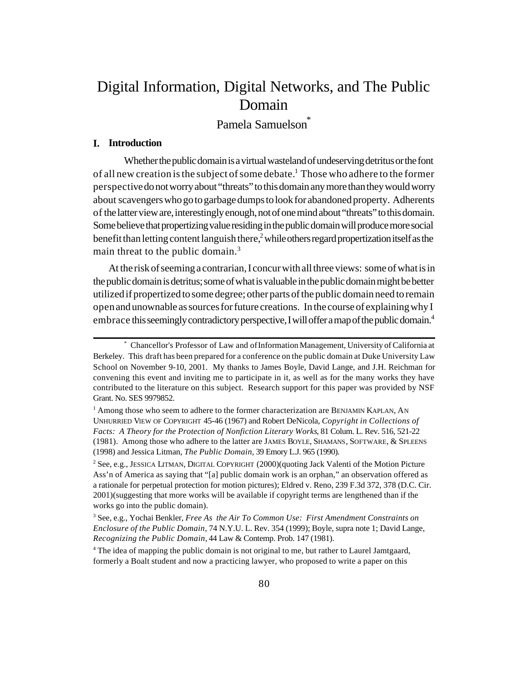# Digital Information, Digital Networks, and The Public Domain

Pamela Samuelson<sup>\*</sup>

## **I. Introduction**

Whether the public domain is a virtual wasteland of undeserving detritus or the font of all new creation is the subject of some debate.<sup>1</sup> Those who adhere to the former perspective do not worry about "threats" to this domain any more than they would worry about scavengers who go to garbage dumps to look for abandoned property. Adherents of the latter view are, interestingly enough, not of one mind about "threats" to this domain. Some believe that propertizing value residing in the public domain will produce more social benefit than letting content languish there,<sup>2</sup> while others regard propertization itself as the main threat to the public domain.<sup>3</sup>

At the risk of seeming a contrarian, I concur with all three views: some of what is in the public domain is detritus; some of what is valuable in the public domain might be better utilized if propertized to some degree; other parts of the public domain need to remain open and unownable as sources for future creations. In the course of explaining why I embrace this seemingly contradictory perspective, I will offer a map of the public domain.<sup>4</sup>

<sup>4</sup> The idea of mapping the public domain is not original to me, but rather to Laurel Jamtgaard, formerly a Boalt student and now a practicing lawyer, who proposed to write a paper on this

<sup>\*</sup> Chancellor's Professor of Law and of Information Management, University of California at Berkeley. This draft has been prepared for a conference on the public domain at Duke University Law School on November 9-10, 2001. My thanks to James Boyle, David Lange, and J.H. Reichman for convening this event and inviting me to participate in it, as well as for the many works they have contributed to the literature on this subject. Research support for this paper was provided by NSF Grant. No. SES 9979852.

<sup>&</sup>lt;sup>1</sup> Among those who seem to adhere to the former characterization are BENJAMIN KAPLAN, AN UNHURRIED VIEW OF COPYRIGHT 45-46 (1967) and Robert DeNicola, *Copyright in Collections of Facts: A Theory for the Protection of Nonfiction Literary Works*, 81 Colum. L. Rev. 516, 521-22 (1981). Among those who adhere to the latter are JAMES BOYLE, SHAMANS, SOFTWARE, & SPLEENS (1998) and Jessica Litman, *The Public Domain*, 39 Emory L.J. 965 (1990).

<sup>2</sup> See, e.g., JESSICA LITMAN, DIGITAL COPYRIGHT (2000)(quoting Jack Valenti of the Motion Picture Ass'n of America as saying that "[a] public domain work is an orphan," an observation offered as a rationale for perpetual protection for motion pictures); Eldred v. Reno, 239 F.3d 372, 378 (D.C. Cir. 2001)(suggesting that more works will be available if copyright terms are lengthened than if the works go into the public domain).

<sup>3</sup> See, e.g., Yochai Benkler, *Free As the Air To Common Use: First Amendment Constraints on Enclosure of the Public Domain*, 74 N.Y.U. L. Rev. 354 (1999); Boyle, supra note 1; David Lange, *Recognizing the Public Domain,* 44 Law & Contemp. Prob. 147 (1981).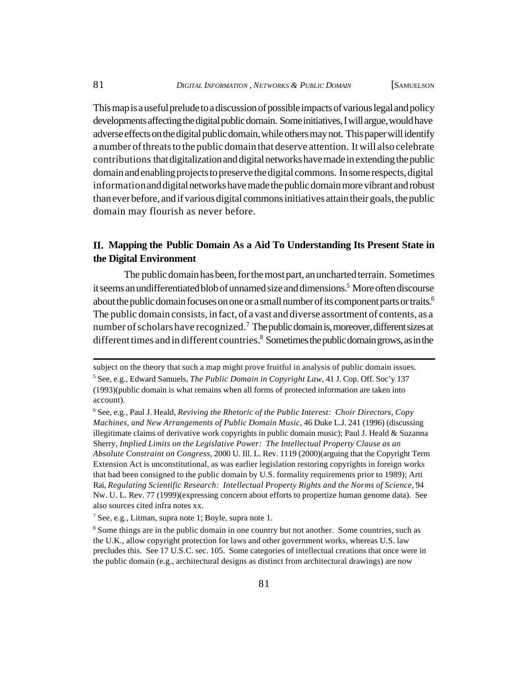This map is a useful prelude to a discussion of possible impacts of various legal and policy developments affecting the digital public domain. Some initiatives, I will argue, would have adverse effects on the digital public domain, while others may not. This paper will identify a number of threats to the public domain that deserve attention. It will also celebrate contributions that digitalization and digital networks have made in extending the public domain and enabling projects to preserve the digital commons. In some respects, digital information and digital networks have made the public domain more vibrant and robust than ever before, and if various digital commons initiatives attain their goals, the public domain may flourish as never before.

## **II. Mapping the Public Domain As a Aid To Understanding Its Present State in the Digital Environment**

The public domain has been, for the most part, an uncharted terrain. Sometimes it seems an undifferentiated blob of unnamed size and dimensions.<sup>5</sup> More often discourse about the public domain focuses on one or a small number of its component parts or traits.<sup>6</sup> The public domain consists, in fact, of a vast and diverse assortment of contents, as a number of scholars have recognized.<sup>7</sup> The public domain is, moreover, different sizes at different times and in different countries.<sup>8</sup> Sometimes the public domain grows, as in the

subject on the theory that such a map might prove fruitful in analysis of public domain issues.

<sup>5</sup> See, e.g., Edward Samuels, *The Public Domain in Copyright Law*, 41 J. Cop. Off. Soc'y 137 (1993)(public domain is what remains when all forms of protected information are taken into account).

<sup>6</sup> See, e.g., Paul J. Heald, *Reviving the Rhetoric of the Public Interest: Choir Directors, Copy Machines, and New Arrangements of Public Domain Music*, 46 Duke L.J. 241 (1996) (discussing illegitimate claims of derivative work copyrights in public domain music); Paul J. Heald & Suzanna Sherry, *Implied Limits on the Legislative Power: The Intellectual Property Clause as an Absolute Constraint on Congress*, 2000 U. Ill. L. Rev. 1119 (2000)(arguing that the Copyright Term Extension Act is unconstitutional, as was earlier legislation restoring copyrights in foreign works that had been consigned to the public domain by U.S. formality requirements prior to 1989); Arti Rai, *Regulating Scientific Research: Intellectual Property Rights and the Norms of Science*, 94 Nw. U. L. Rev. 77 (1999)(expressing concern about efforts to propertize human genome data). See also sources cited infra notes xx.

<sup>&</sup>lt;sup>7</sup> See, e.g., Litman, supra note 1; Boyle, supra note 1.

<sup>&</sup>lt;sup>8</sup> Some things are in the public domain in one country but not another. Some countries, such as the U.K., allow copyright protection for laws and other government works, whereas U.S. law precludes this. See 17 U.S.C. sec. 105. Some categories of intellectual creations that once were in the public domain (e.g., architectural designs as distinct from architectural drawings) are now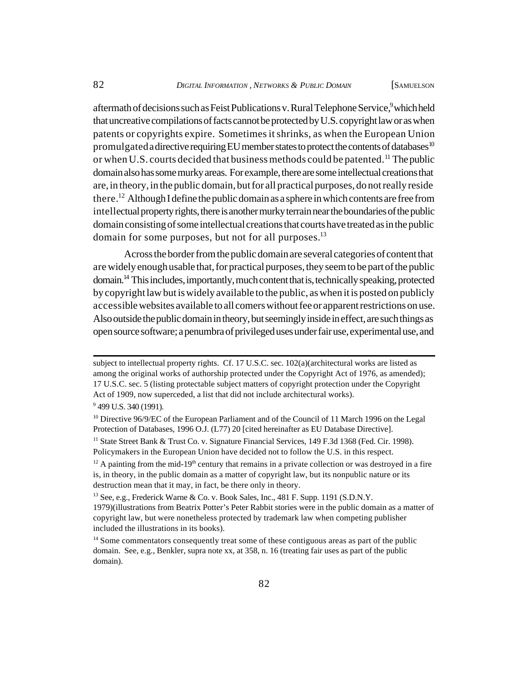aftermath of decisions such as Feist Publications v. Rural Telephone Service,<sup>9</sup> which held that uncreative compilations of facts cannot be protected by U.S. copyright law or as when patents or copyrights expire. Sometimes it shrinks, as when the European Union promulgated a directive requiring EU member states to protect the contents of databases<sup>10</sup> or when U.S. courts decided that business methods could be patented.<sup>11</sup> The public domain also has some murky areas. For example, there are some intellectual creations that are, in theory, in the public domain, but for all practical purposes, do not really reside there.<sup>12</sup> Although I define the public domain as a sphere in which contents are free from intellectual property rights, there is another murky terrain near the boundaries of the public domain consisting of some intellectual creations that courts have treated as in the public domain for some purposes, but not for all purposes.<sup>13</sup>

Across the border from the public domain are several categories of content that are widely enough usable that, for practical purposes, they seem to be part of the public domain.<sup>14</sup> This includes, importantly, much content that is, technically speaking, protected by copyright law but is widely available to the public, as when it is posted on publicly accessible websites available to all comers without fee or apparent restrictions on use. Also outside the public domain in theory, but seemingly inside in effect, are such things as open source software; a penumbra of privileged uses under fair use, experimental use, and

 $13$  See, e.g., Frederick Warne & Co. v. Book Sales, Inc., 481 F. Supp. 1191 (S.D.N.Y.) 1979)(illustrations from Beatrix Potter's Peter Rabbit stories were in the public domain as a matter of copyright law, but were nonetheless protected by trademark law when competing publisher included the illustrations in its books).

subject to intellectual property rights. Cf. 17 U.S.C. sec. 102(a)(architectural works are listed as among the original works of authorship protected under the Copyright Act of 1976, as amended); 17 U.S.C. sec. 5 (listing protectable subject matters of copyright protection under the Copyright Act of 1909, now superceded, a list that did not include architectural works).

<sup>&</sup>lt;sup>9</sup> 499 U.S. 340 (1991).

<sup>&</sup>lt;sup>10</sup> Directive 96/9/EC of the European Parliament and of the Council of 11 March 1996 on the Legal Protection of Databases, 1996 O.J. (L77) 20 [cited hereinafter as EU Database Directive].

<sup>&</sup>lt;sup>11</sup> State Street Bank & Trust Co. v. Signature Financial Services, 149 F.3d 1368 (Fed. Cir. 1998). Policymakers in the European Union have decided not to follow the U.S. in this respect.

 $12$  A painting from the mid-19<sup>th</sup> century that remains in a private collection or was destroyed in a fire is, in theory, in the public domain as a matter of copyright law, but its nonpublic nature or its destruction mean that it may, in fact, be there only in theory.

<sup>&</sup>lt;sup>14</sup> Some commentators consequently treat some of these contiguous areas as part of the public domain. See, e.g., Benkler, supra note xx, at 358, n. 16 (treating fair uses as part of the public domain).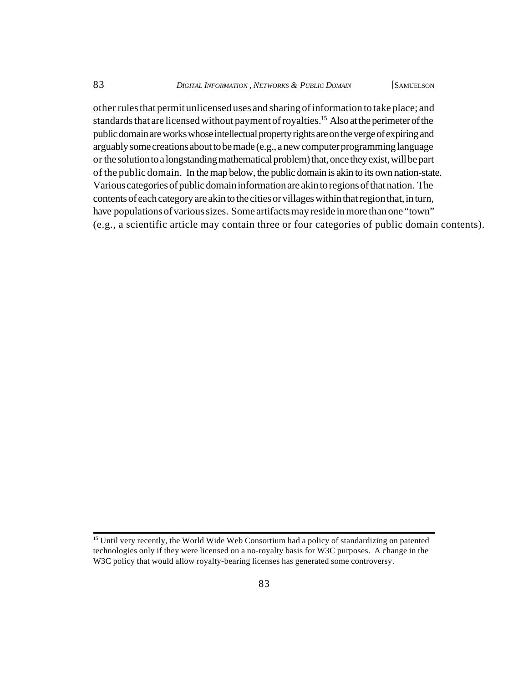other rules that permit unlicensed uses and sharing of information to take place; and standards that are licensed without payment of royalties.<sup>15</sup> Also at the perimeter of the public domain are works whose intellectual property rights are on the verge of expiring and arguably some creations about to be made (e.g., a new computer programming language or the solution to a longstanding mathematical problem) that, once they exist, will be part of the public domain. In the map below, the public domain is akin to its own nation-state. Various categories of public domain information are akin to regions of that nation. The contents of each category are akin to the cities or villages within that region that, in turn, have populations of various sizes. Some artifacts may reside in more than one "town" (e.g., a scientific article may contain three or four categories of public domain contents).

<sup>&</sup>lt;sup>15</sup> Until very recently, the World Wide Web Consortium had a policy of standardizing on patented technologies only if they were licensed on a no-royalty basis for W3C purposes. A change in the W<sub>3</sub>C policy that would allow royalty-bearing licenses has generated some controversy.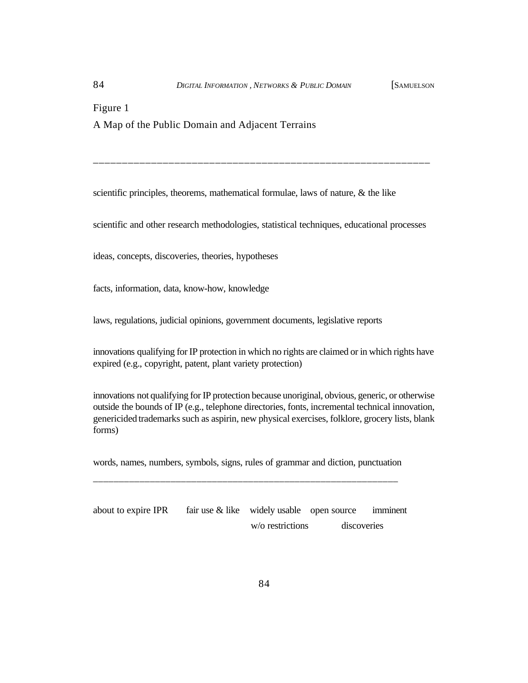Figure 1 A Map of the Public Domain and Adjacent Terrains

scientific principles, theorems, mathematical formulae, laws of nature,  $\&$  the like

scientific and other research methodologies, statistical techniques, educational processes

\_\_\_\_\_\_\_\_\_\_\_\_\_\_\_\_\_\_\_\_\_\_\_\_\_\_\_\_\_\_\_\_\_\_\_\_\_\_\_\_\_\_\_\_\_\_\_\_\_\_\_\_\_\_\_\_\_\_

ideas, concepts, discoveries, theories, hypotheses

facts, information, data, know-how, knowledge

laws, regulations, judicial opinions, government documents, legislative reports

innovations qualifying for IP protection in which no rights are claimed or in which rights have expired (e.g., copyright, patent, plant variety protection)

innovations not qualifying for IP protection because unoriginal, obvious, generic, or otherwise outside the bounds of IP (e.g., telephone directories, fonts, incremental technical innovation, genericided trademarks such as aspirin, new physical exercises, folklore, grocery lists, blank forms)

words, names, numbers, symbols, signs, rules of grammar and diction, punctuation \_\_\_\_\_\_\_\_\_\_\_\_\_\_\_\_\_\_\_\_\_\_\_\_\_\_\_\_\_\_\_\_\_\_\_\_\_\_\_\_\_\_\_\_\_\_\_\_\_\_\_\_\_\_\_\_\_\_\_

about to expire IPR fair use  $&$  like widely usable open source imminent w/o restrictions discoveries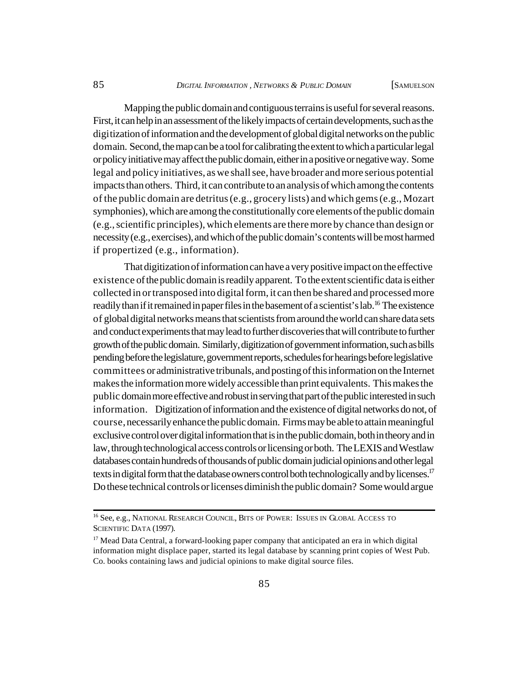Mapping the public domain and contiguous terrains is useful for several reasons. First, it can help in an assessment of the likely impacts of certain developments, such as the digitization of information and the development of global digital networks on the public domain. Second, the map can be a tool for calibrating the extent to which a particular legal or policy initiative may affect the public domain, either in a positive or negative way. Some legal and policy initiatives, as we shall see, have broader and more serious potential impacts than others. Third, it can contribute to an analysis of which among the contents of the public domain are detritus (e.g., grocery lists) and which gems (e.g., Mozart symphonies), which are among the constitutionally core elements of the public domain (e.g., scientific principles), which elements are there more by chance than design or necessity (e.g., exercises), and which of the public domain's contents will be most harmed if propertized (e.g., information).

That digitization of information can have a very positive impact on the effective existence of the public domain is readily apparent. To the extent scientific data is either collected in or transposed into digital form, it can then be shared and processed more readily than if it remained in paper files in the basement of a scientist's lab.<sup>16</sup> The existence of global digital networks means that scientists from around the world can share data sets and conduct experiments that may lead to further discoveries that will contribute to further growth of the public domain. Similarly, digitization of government information, such as bills pending before the legislature, government reports, schedules for hearings before legislative committees or administrative tribunals, and posting of this information on the Internet makes the information more widely accessible than print equivalents. This makes the public domain more effective and robust in serving that part of the public interested in such information. Digitization of information and the existence of digital networks do not, of course, necessarily enhance the public domain. Firms may be able to attain meaningful exclusive control over digital information that is in the public domain, both in theory and in law, through technological access controls or licensing or both. The LEXIS and Westlaw databases contain hundreds of thousands of public domain judicial opinions and other legal texts in digital form that the database owners control both technologically and by licenses.<sup>17</sup> Do these technical controls or licenses diminish the public domain? Some would argue

<sup>&</sup>lt;sup>16</sup> See, e.g., NATIONAL RESEARCH COUNCIL, BITS OF POWER: ISSUES IN GLOBAL ACCESS TO SCIENTIFIC DATA (1997).

<sup>&</sup>lt;sup>17</sup> Mead Data Central, a forward-looking paper company that anticipated an era in which digital information might displace paper, started its legal database by scanning print copies of West Pub. Co. books containing laws and judicial opinions to make digital source files.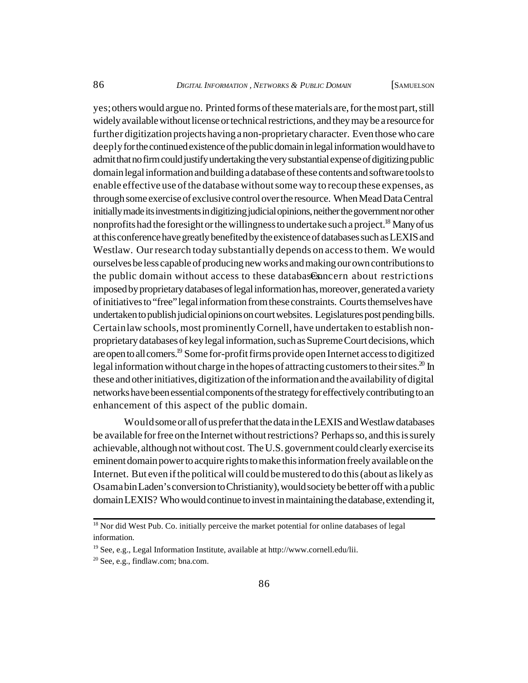yes; others would argue no. Printed forms of these materials are, for the most part, still widely available without license or technical restrictions, and they may be a resource for further digitization projects having a non-proprietary character. Even those who care deeply for the continued existence of the public domain in legal information would have to admit that no firm could justify undertaking the very substantial expense of digitizing public domain legal information and building a database of these contents and software tools to enable effective use of the database without some way to recoup these expenses, as through some exercise of exclusive control over the resource. When Mead Data Central initially made its investments in digitizing judicial opinions, neither the government nor other nonprofits had the foresight or the willingness to undertake such a project.<sup>18</sup> Many of us at this conference have greatly benefited by the existence of databases such as LEXIS and Westlaw. Our research today substantially depends on access to them. We would ourselves be less capable of producing new works and making our own contributions to the public domain without access to these databases from a bout restrictions imposed by proprietary databases of legal information has, moreover, generated a variety of initiatives to "free" legal information from these constraints. Courts themselves have undertaken to publish judicial opinions on court websites. Legislatures post pending bills. Certain law schools, most prominently Cornell, have undertaken to establish nonproprietary databases of key legal information, such as Supreme Court decisions, which are open to all comers.<sup>19</sup> Some for-profit firms provide open Internet access to digitized legal information without charge in the hopes of attracting customers to their sites.<sup>20</sup> In these and other initiatives, digitization of the information and the availability of digital networks have been essential components of the strategy for effectively contributing to an enhancement of this aspect of the public domain.

Would some or all of us prefer that the data in the LEXIS and Westlaw databases be available for free on the Internet without restrictions? Perhaps so, and this is surely achievable, although not without cost. The U.S. government could clearly exercise its eminent domain power to acquire rights to make this information freely available on the Internet. But even if the political will could be mustered to do this (about as likely as Osama bin Laden's conversion to Christianity), would society be better off with a public domain LEXIS? Who would continue to invest in maintaining the database, extending it,

<sup>&</sup>lt;sup>18</sup> Nor did West Pub. Co. initially perceive the market potential for online databases of legal information.

<sup>19</sup> See, e.g., Legal Information Institute, available at [http://www.cornell.edu/lii.](http://www.cornell.edu/lii)

<sup>20</sup> See, e.g., findlaw.com; bna.com.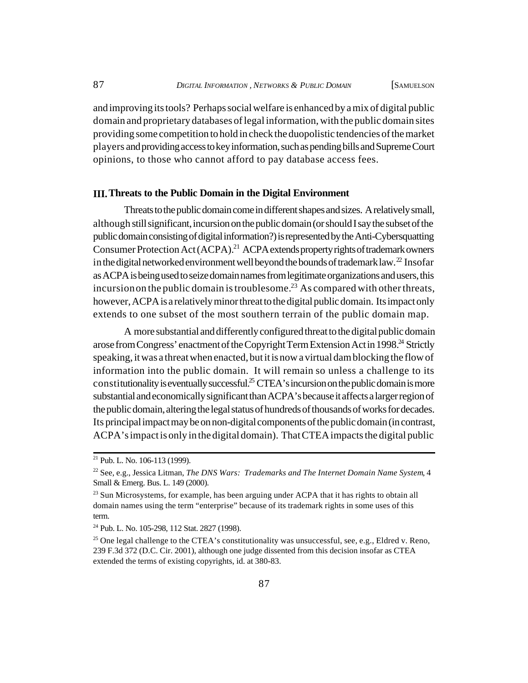and improving its tools? Perhaps social welfare is enhanced by a mix of digital public domain and proprietary databases of legal information, with the public domain sites providing some competition to hold in check the duopolistic tendencies of the market players and providing access to key information, such as pending bills and Supreme Court opinions, to those who cannot afford to pay database access fees.

#### **III.Threats to the Public Domain in the Digital Environment**

Threats to the public domain come in different shapes and sizes. A relatively small, although still significant, incursion on the public domain (or should I say the subset of the public domain consisting of digital information?) is represented by the Anti-Cybersquatting Consumer Protection Act (ACPA).<sup>21</sup> ACPA extends property rights of trademark owners in the digital networked environment well beyond the bounds of trademark law.<sup>22</sup> Insofar as ACPA is being used to seize domain names from legitimate organizations and users, this incursion on the public domain is troublesome.<sup>23</sup> As compared with other threats, however, ACPA is a relatively minor threat to the digital public domain. Its impact only extends to one subset of the most southern terrain of the public domain map.

A more substantial and differently configured threat to the digital public domain arose from Congress' enactment of the Copyright Term Extension Act in 1998.<sup>24</sup> Strictly speaking, it was a threat when enacted, but it is now a virtual dam blocking the flow of information into the public domain. It will remain so unless a challenge to its constitutionality is eventually successful.<sup>25</sup> CTEA's incursion on the public domain is more substantial and economically significant than ACPA's because it affects a larger region of the public domain, altering the legal status of hundreds of thousands of works for decades. Its principal impact may be on non-digital components of the public domain (in contrast, ACPA's impact is only in the digital domain). That CTEA impacts the digital public

<sup>21</sup> Pub. L. No. 106-113 (1999).

<sup>22</sup> See, e.g., Jessica Litman, *The DNS Wars: Trademarks and The Internet Domain Name System*, 4 Small & Emerg. Bus. L. 149 (2000).

 $^{23}$  Sun Microsystems, for example, has been arguing under ACPA that it has rights to obtain all domain names using the term "enterprise" because of its trademark rights in some uses of this term.

<sup>24</sup> Pub. L. No. 105-298, 112 Stat. 2827 (1998).

<sup>&</sup>lt;sup>25</sup> One legal challenge to the CTEA's constitutionality was unsuccessful, see, e.g., Eldred v. Reno, 239 F.3d 372 (D.C. Cir. 2001), although one judge dissented from this decision insofar as CTEA extended the terms of existing copyrights, id. at 380-83.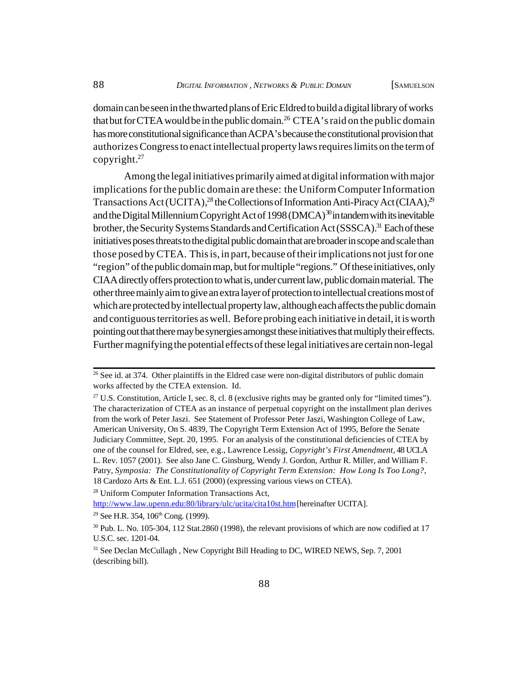domain can be seen in the thwarted plans of Eric Eldred to build a digital library of works that but for CTEA would be in the public domain.<sup>26</sup> CTEA's raid on the public domain has more constitutional significance than ACPA's because the constitutional provision that authorizes Congress to enact intellectual property laws requires limits on the term of copyright. $27$ 

Among the legal initiatives primarily aimed at digital information with major implications for the public domain are these: the Uniform Computer Information Transactions Act (UCITA),<sup>28</sup> the Collections of Information Anti-Piracy Act (CIAA),<sup>29</sup> and the Digital Millennium Copyright Act of 1998 (DMCA)<sup>30</sup> in tandem with its inevitable brother, the Security Systems Standards and Certification Act (SSSCA).<sup>31</sup> Each of these initiatives poses threats to the digital public domain that are broader in scope and scale than those posed by CTEA. This is, in part, because of their implications not just for one "region" of the public domain map, but for multiple "regions." Of these initiatives, only CIAA directly offers protection to what is, under current law, public domain material. The other three mainly aim to give an extra layer of protection to intellectual creations most of which are protected by intellectual property law, although each affects the public domain and contiguous territories as well. Before probing each initiative in detail, it is worth pointing out that there may be synergies amongst these initiatives that multiply their effects. Further magnifying the potential effects of these legal initiatives are certain non-legal

<sup>&</sup>lt;sup>26</sup> See id. at 374. Other plaintiffs in the Eldred case were non-digital distributors of public domain works affected by the CTEA extension. Id.

 $27$  U.S. Constitution, Article I, sec. 8, cl. 8 (exclusive rights may be granted only for "limited times"). The characterization of CTEA as an instance of perpetual copyright on the installment plan derives from the work of Peter Jaszi. See Statement of Professor Peter Jaszi, Washington College of Law, American University, On S. 4839, The Copyright Term Extension Act of 1995, Before the Senate Judiciary Committee, Sept. 20, 1995. For an analysis of the constitutional deficiencies of CTEA by one of the counsel for Eldred, see, e.g., Lawrence Lessig, *Copyright's First Amendment*, 48 UCLA L. Rev. 1057 (2001). See also Jane C. Ginsburg, Wendy J. Gordon, Arthur R. Miller, and William F. Patry, *Symposia: The Constitutionality of Copyright Term Extension: How Long Is Too Long?*, 18 Cardozo Arts & Ent. L.J. 651 (2000) (expressing various views on CTEA).

<sup>28</sup> Uniform Computer Information Transactions Act,

<http://www.law.upenn.edu:80/library/ulc/ucita/cita10st.htm>[hereinafter UCITA].

<sup>&</sup>lt;sup>29</sup> See H.R. 354,  $106<sup>th</sup>$  Cong. (1999).

<sup>30</sup> Pub. L. No. 105-304, 112 Stat.2860 (1998), the relevant provisions of which are now codified at 17 U.S.C. sec. 1201-04.

<sup>&</sup>lt;sup>31</sup> See Declan McCullagh, New Copyright Bill Heading to DC, WIRED NEWS, Sep. 7, 2001 (describing bill).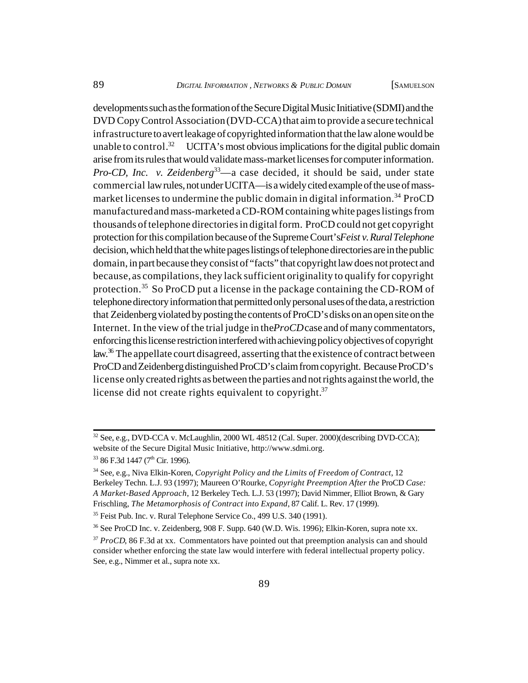developments such as the formation of the Secure Digital Music Initiative (SDMI) and the DVD Copy Control Association (DVD-CCA) that aim to provide a secure technical infrastructure to avert leakage of copyrighted information that the law alone would be unable to control.<sup>32</sup> UCITA's most obvious implications for the digital public domain arise from its rules that would validate mass-market licenses for computer information. *Pro-CD, Inc. v. Zeidenberg*<sup>33</sup>—a case decided, it should be said, under state commercial law rules, not under UCITA—is a widely cited example of the use of massmarket licenses to undermine the public domain in digital information.<sup>34</sup> ProCD manufactured and mass-marketed a CD-ROM containing white pages listings from thousands of telephone directories in digital form. ProCD could not get copyright protection for this compilation because of the Supreme Court's *Feist v. Rural Telephone* decision, which held that the white pages listings of telephone directories are in the public domain, in part because they consist of "facts" that copyright law does not protect and because, as compilations, they lack sufficient originality to qualify for copyright protection.<sup>35</sup> So ProCD put a license in the package containing the CD-ROM of telephone directory information that permitted only personal uses of the data, a restriction that Zeidenberg violated by posting the contents of ProCD's disks on an open site on the Internet. In the view of the trial judge in the *ProCD* case and of many commentators, enforcing this license restriction interfered with achieving policy objectives of copyright law.<sup>36</sup> The appellate court disagreed, asserting that the existence of contract between ProCD and Zeidenberg distinguished ProCD's claim from copyright. Because ProCD's license only created rights as between the parties and not rights against the world, the license did not create rights equivalent to copyright. $37$ 

 $32$  See, e.g., DVD-CCA v. McLaughlin, 2000 WL 48512 (Cal. Super. 2000)(describing DVD-CCA); website of the Secure Digital Music Initiative, [http://www.sdmi.org.](http://www.sdmi.org)

<sup>33 86</sup> F.3d 1447 (7<sup>th</sup> Cir. 1996).

<sup>34</sup> See, e.g., Niva Elkin-Koren, *Copyright Policy and the Limits of Freedom of Contract*, 12 Berkeley Techn. L.J. 93 (1997); Maureen O'Rourke, *Copyright Preemption After the* ProCD *Case: A Market-Based Approach*, 12 Berkeley Tech. L.J. 53 (1997); David Nimmer, Elliot Brown, & Gary Frischling, *The Metamorphosis of Contract into Expand*, 87 Calif. L. Rev. 17 (1999).

<sup>&</sup>lt;sup>35</sup> Feist Pub. Inc. v. Rural Telephone Service Co., 499 U.S. 340 (1991).

<sup>36</sup> See ProCD Inc. v. Zeidenberg, 908 F. Supp. 640 (W.D. Wis. 1996); Elkin-Koren, supra note xx.

<sup>&</sup>lt;sup>37</sup> *ProCD*, 86 F.3d at xx. Commentators have pointed out that preemption analysis can and should consider whether enforcing the state law would interfere with federal intellectual property policy. See, e.g., Nimmer et al., supra note xx.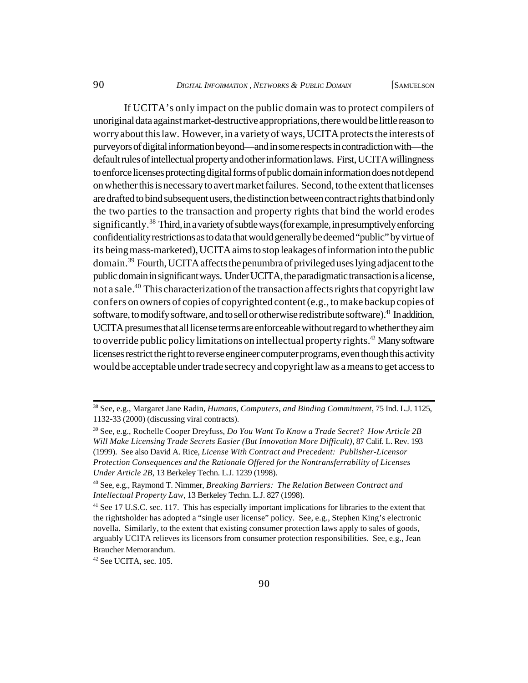If UCITA's only impact on the public domain was to protect compilers of unoriginal data against market-destructive appropriations, there would be little reason to worry about this law. However, in a variety of ways, UCITA protects the interests of purveyors of digital information beyond—and in some respects in contradiction with—the default rules of intellectual property and other information laws. First, UCITA willingness to enforce licenses protecting digital forms of public domain information does not depend on whether this is necessary to avert market failures. Second, to the extent that licenses are drafted to bind subsequent users, the distinction between contract rights that bind only the two parties to the transaction and property rights that bind the world erodes significantly.<sup>38</sup> Third, in a variety of subtle ways (for example, in presumptively enforcing confidentiality restrictions as to data that would generally be deemed "public" by virtue of its being mass-marketed), UCITA aims to stop leakages of information into the public domain.<sup>39</sup> Fourth, UCITA affects the penumbra of privileged uses lying adjacent to the public domain in significant ways. Under UCITA, the paradigmatic transaction is a license, not a sale.<sup>40</sup> This characterization of the transaction affects rights that copyright law confers on owners of copies of copyrighted content (e.g., to make backup copies of software, to modify software, and to sell or otherwise redistribute software).<sup>41</sup> In addition, UCITA presumes that all license terms are enforceable without regard to whether they aim to override public policy limitations on intellectual property rights.<sup>42</sup> Many software licenses restrict the right to reverse engineer computer programs, even though this activity would be acceptable under trade secrecy and copyright law as a means to get access to

<sup>42</sup> See UCITA, sec. 105.

<sup>38</sup> See, e.g., Margaret Jane Radin, *Humans, Computers, and Binding Commitment*, 75 Ind. L.J. 1125, 1132-33 (2000) (discussing viral contracts).

<sup>39</sup> See, e.g., Rochelle Cooper Dreyfuss, *Do You Want To Know a Trade Secret? How Article 2B Will Make Licensing Trade Secrets Easier (But Innovation More Difficult)*, 87 Calif. L. Rev. 193 (1999). See also David A. Rice, *License With Contract and Precedent: Publisher-Licensor Protection Consequences and the Rationale Offered for the Nontransferrability of Licenses Under Article 2B*, 13 Berkeley Techn. L.J. 1239 (1998).

<sup>40</sup> See, e.g., Raymond T. Nimmer, *Breaking Barriers: The Relation Between Contract and Intellectual Property Law*, 13 Berkeley Techn. L.J. 827 (1998).

<sup>&</sup>lt;sup>41</sup> See 17 U.S.C. sec. 117. This has especially important implications for libraries to the extent that the rightsholder has adopted a "single user license" policy. See, e.g., Stephen King's electronic novella. Similarly, to the extent that existing consumer protection laws apply to sales of goods, arguably UCITA relieves its licensors from consumer protection responsibilities. See, e.g., Jean Braucher Memorandum.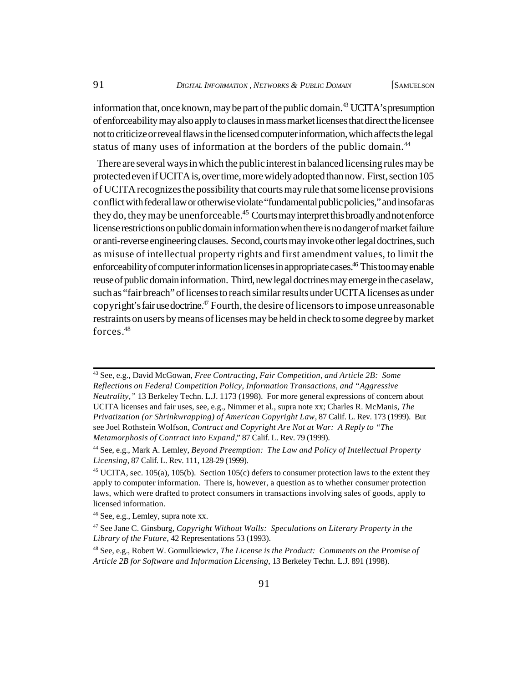information that, once known, may be part of the public domain.<sup>43</sup> UCITA's presumption of enforceability may also apply to clauses in mass market licenses that direct the licensee not to criticize or reveal flaws in the licensed computer information, which affects the legal status of many uses of information at the borders of the public domain.<sup>44</sup>

 There are several ways in which the public interest in balanced licensing rules may be protected even if UCITA is, over time, more widely adopted than now. First, section 105 of UCITA recognizes the possibility that courts may rule that some license provisions conflict with federal law or otherwise violate "fundamental public policies," and insofar as they do, they may be unenforceable.<sup>45</sup> Courts may interpret this broadly and not enforce license restrictions on public domain information when there is no danger of market failure or anti-reverse engineering clauses. Second, courts may invoke other legal doctrines, such as misuse of intellectual property rights and first amendment values, to limit the enforceability of computer information licenses in appropriate cases.<sup>46</sup> This too may enable reuse of public domain information. Third, new legal doctrines may emerge in the caselaw, such as "fair breach" of licenses to reach similar results under UCITA licenses as under copyright's fair use doctrine.<sup>47</sup> Fourth, the desire of licensors to impose unreasonable restraints on users by means of licenses may be held in check to some degree by market forces.<sup>48</sup>

<sup>43</sup> See, e.g., David McGowan, *Free Contracting, Fair Competition, and Article 2B: Some Reflections on Federal Competition Policy, Information Transactions, and "Aggressive Neutrality,"* 13 Berkeley Techn. L.J. 1173 (1998). For more general expressions of concern about UCITA licenses and fair uses, see, e.g., Nimmer et al., supra note xx; Charles R. McManis, *The Privatization (or Shrinkwrapping) of American Copyright Law*, 87 Calif. L. Rev. 173 (1999). But see Joel Rothstein Wolfson, *Contract and Copyright Are Not at War: A Reply to "The Metamorphosis of Contract into Expand,*" 87 Calif. L. Rev. 79 (1999).

<sup>44</sup> See, e.g., Mark A. Lemley, *Beyond Preemption: The Law and Policy of Intellectual Property Licensing*, 87 Calif. L. Rev. 111, 128-29 (1999).

<sup>&</sup>lt;sup>45</sup> UCITA, sec. 105(a), 105(b). Section 105(c) defers to consumer protection laws to the extent they apply to computer information. There is, however, a question as to whether consumer protection laws, which were drafted to protect consumers in transactions involving sales of goods, apply to licensed information.

<sup>46</sup> See, e.g., Lemley, supra note xx.

<sup>47</sup> See Jane C. Ginsburg, *Copyright Without Walls: Speculations on Literary Property in the Library of the Future*, 42 Representations 53 (1993).

<sup>48</sup> See, e.g., Robert W. Gomulkiewicz, *The License is the Product: Comments on the Promise of Article 2B for Software and Information Licensing*, 13 Berkeley Techn. L.J. 891 (1998).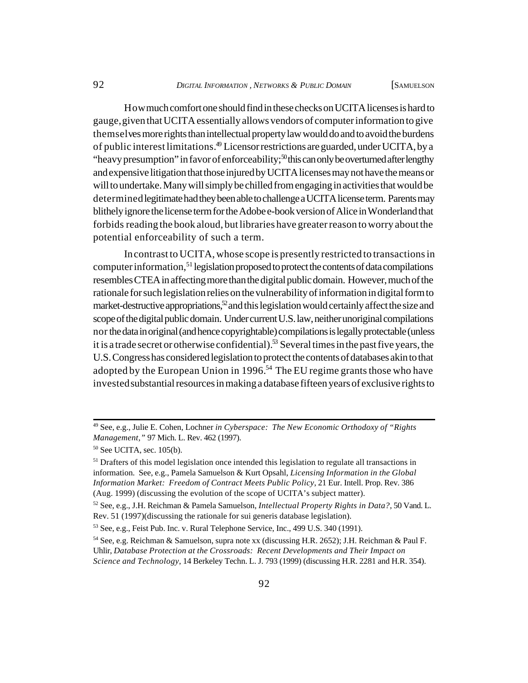How much comfort one should find in these checks on UCITA licenses is hard to gauge, given that UCITA essentially allows vendors of computer information to give themselves more rights than intellectual property law would do and to avoid the burdens of public interest limitations.<sup>49</sup> Licensor restrictions are guarded, under UCITA, by a "heavy presumption" in favor of enforceability; $50$  this can only be overturned after lengthy and expensive litigation that those injured by UCITA licenses may not have the means or will to undertake. Many will simply be chilled from engaging in activities that would be determined legitimate had they been able to challenge a UCITA license term. Parents may blithely ignore the license term for the Adobe e-book version of Alice in Wonderland that forbids reading the book aloud, but libraries have greater reason to worry about the potential enforceability of such a term.

In contrast to UCITA, whose scope is presently restricted to transactions in computer information,<sup>51</sup> legislation proposed to protect the contents of data compilations resembles CTEA in affecting more than the digital public domain. However, much of the rationale for such legislation relies on the vulnerability of information in digital form to market-destructive appropriations,<sup>52</sup> and this legislation would certainly affect the size and scope of the digital public domain. Under current U.S. law, neither unoriginal compilations nor the data in original (and hence copyrightable) compilations is legally protectable (unless it is a trade secret or otherwise confidential).<sup>53</sup> Several times in the past five years, the U.S. Congress has considered legislation to protect the contents of databases akin to that adopted by the European Union in 1996.<sup>54</sup> The EU regime grants those who have invested substantial resources in making a database fifteen years of exclusive rights to

<sup>49</sup> See, e.g., Julie E. Cohen, Lochner *in Cyberspace: The New Economic Orthodoxy of "Rights Management,"* 97 Mich. L. Rev. 462 (1997).

<sup>50</sup> See UCITA, sec. 105(b).

 $<sup>51</sup>$  Drafters of this model legislation once intended this legislation to regulate all transactions in</sup> information. See, e.g., Pamela Samuelson & Kurt Opsahl, *Licensing Information in the Global Information Market: Freedom of Contract Meets Public Policy*, 21 Eur. Intell. Prop. Rev. 386 (Aug. 1999) (discussing the evolution of the scope of UCITA's subject matter).

<sup>52</sup> See, e.g., J.H. Reichman & Pamela Samuelson, *Intellectual Property Rights in Data?*, 50 Vand. L. Rev. 51 (1997)(discussing the rationale for sui generis database legislation).

<sup>53</sup> See, e.g., Feist Pub. Inc. v. Rural Telephone Service, Inc., 499 U.S. 340 (1991).

<sup>54</sup> See, e.g. Reichman & Samuelson, supra note xx (discussing H.R. 2652); J.H. Reichman & Paul F. Uhlir, *Database Protection at the Crossroads: Recent Developments and Their Impact on Science and Technology*, 14 Berkeley Techn. L. J. 793 (1999) (discussing H.R. 2281 and H.R. 354).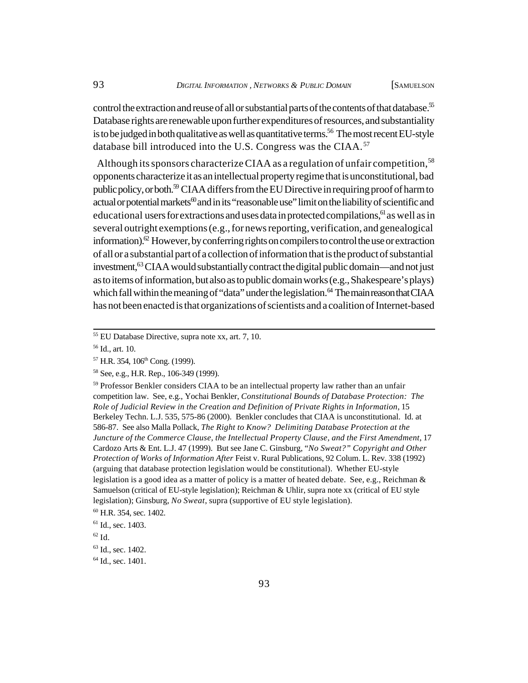control the extraction and reuse of all or substantial parts of the contents of that database.<sup>55</sup> Database rights are renewable upon further expenditures of resources, and substantiality is to be judged in both qualitative as well as quantitative terms.<sup>56</sup> The most recent EU-style database bill introduced into the U.S. Congress was the CIAA.<sup>57</sup>

Although its sponsors characterize CIAA as a regulation of unfair competition,<sup>58</sup> opponents characterize it as an intellectual property regime that is unconstitutional, bad public policy, or both.<sup>59</sup> CIAA differs from the EU Directive in requiring proof of harm to actual or potential markets<sup>60</sup> and in its "reasonable use" limit on the liability of scientific and educational users for extractions and uses data in protected compilations,  $61$  as well as in several outright exemptions (e.g., for news reporting, verification, and genealogical information).<sup> $\alpha$ </sup> However, by conferring rights on compilers to control the use or extraction of all or a substantial part of a collection of information that is the product of substantial investment,<sup>63</sup> CIAA would substantially contract the digital public domain—and not just as to items of information, but also as to public domain works (e.g., Shakespeare's plays) which fall within the meaning of "data" under the legislation.<sup>64</sup> The main reason that CIAA has not been enacted is that organizations of scientists and a coalition of Internet-based

<sup>55</sup> EU Database Directive, supra note xx, art. 7, 10.

<sup>56</sup> Id., art. 10.

 $57$  H.R. 354,  $106<sup>th</sup>$  Cong. (1999).

<sup>58</sup> See, e.g., H.R. Rep., 106-349 (1999).

<sup>&</sup>lt;sup>59</sup> Professor Benkler considers CIAA to be an intellectual property law rather than an unfair competition law. See, e.g., Yochai Benkler, *Constitutional Bounds of Database Protection: The Role of Judicial Review in the Creation and Definition of Private Rights in Information*, 15 Berkeley Techn. L.J. 535, 575-86 (2000). Benkler concludes that CIAA is unconstitutional. Id. at 586-87. See also Malla Pollack, *The Right to Know? Delimiting Database Protection at the Juncture of the Commerce Clause, the Intellectual Property Clause, and the First Amendment*, 17 Cardozo Arts & Ent. L.J. 47 (1999). But see Jane C. Ginsburg, "*No Sweat?" Copyright and Other Protection of Works of Information After* Feist v. Rural Publications, 92 Colum. L. Rev. 338 (1992) (arguing that database protection legislation would be constitutional). Whether EU-style legislation is a good idea as a matter of policy is a matter of heated debate. See, e.g., Reichman  $\&$ Samuelson (critical of EU-style legislation); Reichman & Uhlir, supra note xx (critical of EU style legislation); Ginsburg, *No Sweat*, supra (supportive of EU style legislation).

<sup>60</sup> H.R. 354, sec. 1402.

 $61$  Id., sec. 1403.

 $62$  Id.

<sup>&</sup>lt;sup>63</sup> Id., sec. 1402.

 $64$  Id., sec. 1401.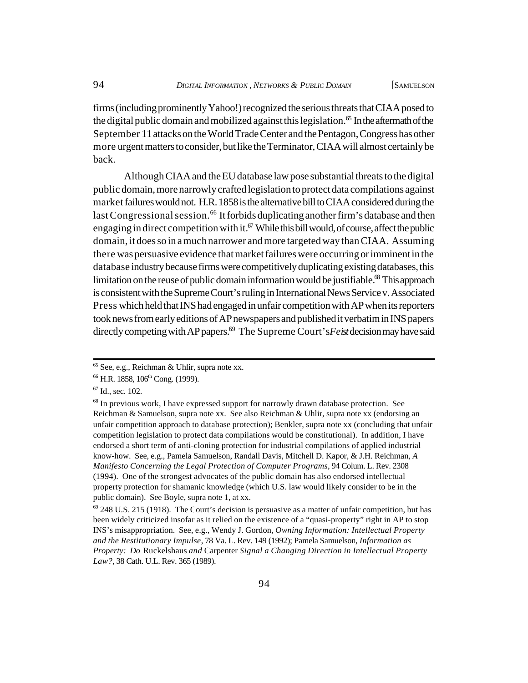firms (including prominently Yahoo!) recognized the serious threats that CIAA posed to the digital public domain and mobilized against this legislation.<sup>65</sup> In the aftermath of the September 11 attacks on the World Trade Center and the Pentagon, Congress has other more urgent matters to consider, but like the Terminator, CIAA will almost certainly be back.

Although CIAA and the EU database law pose substantial threats to the digital public domain, more narrowly crafted legislation to protect data compilations against market failures would not. H.R. 1858 is the alternative bill to CIAA considered during the last Congressional session.<sup>66</sup> It forbids duplicating another firm's database and then engaging in direct competition with it.<sup>67</sup> While this bill would, of course, affect the public domain, it does so in a much narrower and more targeted way than CIAA. Assuming there was persuasive evidence that market failures were occurring or imminent in the database industry because firms were competitively duplicating existing databases, this limitation on the reuse of public domain information would be justifiable.<sup>68</sup> This approach is consistent with the Supreme Court's ruling in International News Service v. Associated Press which held that INS had engaged in unfair competition with AP when its reporters took news from early editions of AP newspapers and published it verbatim in INS papers directly competing with AP papers.69 The Supreme Court's *Feist* decision may have said

 $65$  See, e.g., Reichman & Uhlir, supra note xx.

<sup>&</sup>lt;sup>66</sup> H.R. 1858, 106<sup>th</sup> Cong. (1999).

 $67$  Id., sec. 102.

<sup>&</sup>lt;sup>68</sup> In previous work, I have expressed support for narrowly drawn database protection. See Reichman & Samuelson, supra note xx. See also Reichman & Uhlir, supra note xx (endorsing an unfair competition approach to database protection); Benkler, supra note xx (concluding that unfair competition legislation to protect data compilations would be constitutional). In addition, I have endorsed a short term of anti-cloning protection for industrial compilations of applied industrial know-how. See, e.g., Pamela Samuelson, Randall Davis, Mitchell D. Kapor, & J.H. Reichman, *A Manifesto Concerning the Legal Protection of Computer Programs*, 94 Colum. L. Rev. 2308 (1994). One of the strongest advocates of the public domain has also endorsed intellectual property protection for shamanic knowledge (which U.S. law would likely consider to be in the public domain). See Boyle, supra note 1, at xx.

 $^{69}$  248 U.S. 215 (1918). The Court's decision is persuasive as a matter of unfair competition, but has been widely criticized insofar as it relied on the existence of a "quasi-property" right in AP to stop INS's misappropriation. See, e.g., Wendy J. Gordon, *Owning Information: Intellectual Property and the Restitutionary Impulse*, 78 Va. L. Rev. 149 (1992); Pamela Samuelson, *Information as Property: Do* Ruckelshaus *and* Carpenter *Signal a Changing Direction in Intellectual Property Law?*, 38 Cath. U.L. Rev. 365 (1989).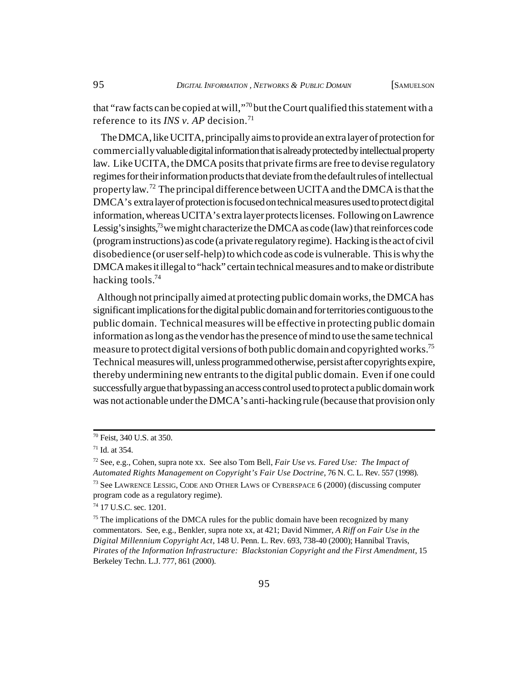that "raw facts can be copied at will,"<sup>70</sup> but the Court qualified this statement with a reference to its *INS v. AP* decision.<sup>71</sup>

 The DMCA, like UCITA, principally aims to provide an extra layer of protection for commercially valuable digital information that is already protected by intellectual property law. Like UCITA, the DMCA posits that private firms are free to devise regulatory regimes for their information products that deviate from the default rules of intellectual property law.<sup>72</sup> The principal difference between UCITA and the DMCA is that the DMCA's extra layer of protection is focused on technical measures used to protect digital information, whereas UCITA's extra layer protects licenses. Following on Lawrence Lessig's insights,<sup>73</sup> we might characterize the DMCA as code (law) that reinforces code (program instructions) as code (a private regulatory regime). Hacking is the act of civil disobedience (or user self-help) to which code as code is vulnerable. This is why the DMCA makes it illegal to "hack" certain technical measures and to make or distribute hacking tools.<sup>74</sup>

 Although not principally aimed at protecting public domain works, the DMCA has significant implications for the digital public domain and for territories contiguous to the public domain. Technical measures will be effective in protecting public domain information as long as the vendor has the presence of mind to use the same technical measure to protect digital versions of both public domain and copyrighted works.<sup>75</sup> Technical measures will, unless programmed otherwise, persist after copyrights expire, thereby undermining new entrants to the digital public domain. Even if one could successfully argue that bypassing an access control used to protect a public domain work was not actionable under the DMCA's anti-hacking rule (because that provision only

<sup>70</sup> Feist, 340 U.S. at 350.

 $71$  Id. at 354.

<sup>72</sup> See, e.g., Cohen, supra note xx. See also Tom Bell, *Fair Use vs. Fared Use: The Impact of Automated Rights Management on Copyright's Fair Use Doctrine*, 76 N. C. L. Rev. 557 (1998). <sup>73</sup> See LAWRENCE LESSIG, CODE AND OTHER LAWS OF CYBERSPACE 6 (2000) (discussing computer program code as a regulatory regime).

<sup>74</sup> 17 U.S.C. sec. 1201.

 $75$  The implications of the DMCA rules for the public domain have been recognized by many commentators. See, e.g., Benkler, supra note xx, at 421; David Nimmer, *A Riff on Fair Use in the Digital Millennium Copyright Act*, 148 U. Penn. L. Rev. 693, 738-40 (2000); Hannibal Travis, *Pirates of the Information Infrastructure: Blackstonian Copyright and the First Amendment*, 15 Berkeley Techn. L.J. 777, 861 (2000).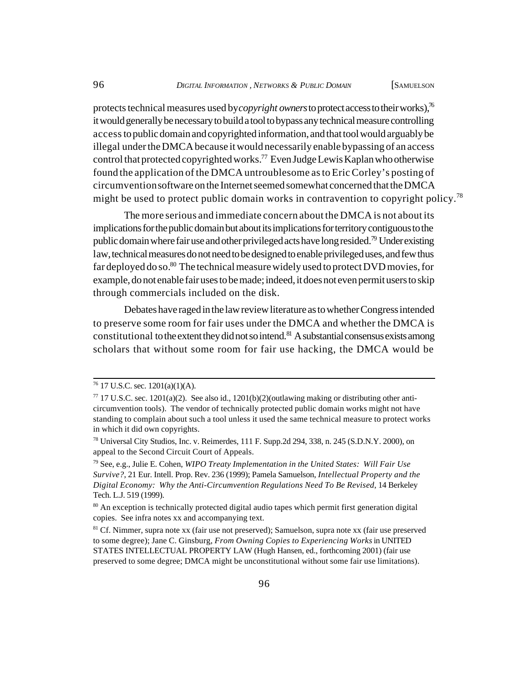protects technical measures used by *copyright owners* to protect access to their works),<sup>76</sup> it would generally be necessary to build a tool to bypass any technical measure controlling access to public domain and copyrighted information, and that tool would arguably be illegal under the DMCA because it would necessarily enable bypassing of an access control that protected copyrighted works.<sup>77</sup> Even Judge Lewis Kaplan who otherwise found the application of the DMCA untroublesome as to Eric Corley's posting of circumvention software on the Internet seemed somewhat concerned that the DMCA might be used to protect public domain works in contravention to copyright policy.<sup>78</sup>

The more serious and immediate concern about the DMCA is not about its implications for the public domain but about its implications for territory contiguous to the public domain where fair use and other privileged acts have long resided.<sup>79</sup> Under existing law, technical measures do not need to be designed to enable privileged uses, and few thus far deployed do so. $80$  The technical measure widely used to protect DVD movies, for example, do not enable fair uses to be made; indeed, it does not even permit users to skip through commercials included on the disk.

Debates have raged in the law review literature as to whether Congress intended to preserve some room for fair uses under the DMCA and whether the DMCA is constitutional to the extent they did not so intend.<sup>81</sup> A substantial consensus exists among scholars that without some room for fair use hacking, the DMCA would be

 $76$  17 U.S.C. sec. 1201(a)(1)(A).

 $^{77}$  17 U.S.C. sec. 1201(a)(2). See also id., 1201(b)(2)(outlawing making or distributing other anticircumvention tools). The vendor of technically protected public domain works might not have standing to complain about such a tool unless it used the same technical measure to protect works in which it did own copyrights.

<sup>78</sup> Universal City Studios, Inc. v. Reimerdes, 111 F. Supp.2d 294, 338, n. 245 (S.D.N.Y. 2000), on appeal to the Second Circuit Court of Appeals.

<sup>79</sup> See, e.g., Julie E. Cohen, *WIPO Treaty Implementation in the United States: Will Fair Use Survive?*, 21 Eur. Intell. Prop. Rev. 236 (1999); Pamela Samuelson, *Intellectual Property and the Digital Economy: Why the Anti-Circumvention Regulations Need To Be Revised*, 14 Berkeley Tech. L.J. 519 (1999).

<sup>&</sup>lt;sup>80</sup> An exception is technically protected digital audio tapes which permit first generation digital copies. See infra notes xx and accompanying text.

<sup>81</sup> Cf. Nimmer, supra note xx (fair use not preserved); Samuelson, supra note xx (fair use preserved to some degree); Jane C. Ginsburg, *From Owning Copies to Experiencing Works* in UNITED STATES INTELLECTUAL PROPERTY LAW (Hugh Hansen, ed., forthcoming 2001) (fair use preserved to some degree; DMCA might be unconstitutional without some fair use limitations).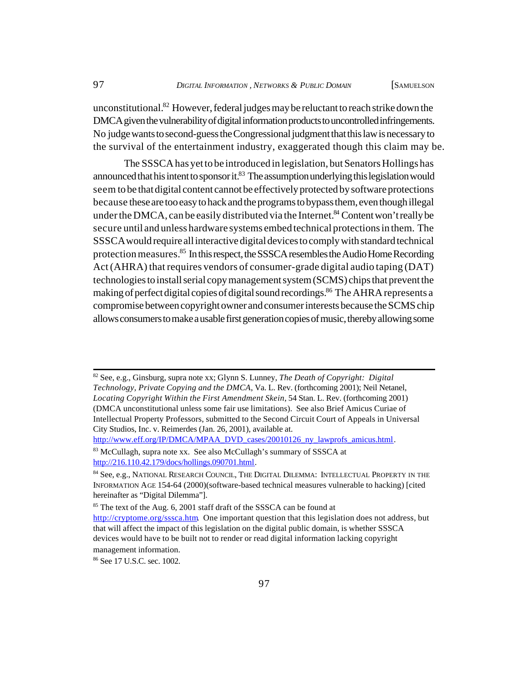unconstitutional.<sup>82</sup> However, federal judges may be reluctant to reach strike down the DMCA given the vulnerability of digital information products to uncontrolled infringements. No judge wants to second-guess the Congressional judgment that this law is necessary to the survival of the entertainment industry, exaggerated though this claim may be.

The SSSCA has yet to be introduced in legislation, but Senators Hollings has announced that his intent to sponsor it. $83$  The assumption underlying this legislation would seem to be that digital content cannot be effectively protected by software protections because these are too easy to hack and the programs to bypass them, even though illegal under the DMCA, can be easily distributed via the Internet.<sup>84</sup> Content won't really be secure until and unless hardware systems embed technical protections in them. The SSSCA would require all interactive digital devices to comply with standard technical protection measures.<sup>85</sup> In this respect, the SSSCA resembles the Audio Home Recording Act (AHRA) that requires vendors of consumer-grade digital audio taping (DAT) technologies to install serial copy management system (SCMS) chips that prevent the making of perfect digital copies of digital sound recordings.<sup>86</sup> The AHRA represents a compromise between copyright owner and consumer interests because the SCMS chip allows consumers to make a usable first generation copies of music, thereby allowing some

<sup>82</sup> See, e.g., Ginsburg, supra note xx; Glynn S. Lunney, *The Death of Copyright: Digital Technology, Private Copying and the DMCA*, Va. L. Rev. (forthcoming 2001); Neil Netanel, *Locating Copyright Within the First Amendment Skein*, 54 Stan. L. Rev. (forthcoming 2001) (DMCA unconstitutional unless some fair use limitations). See also Brief Amicus Curiae of Intellectual Property Professors, submitted to the Second Circuit Court of Appeals in Universal City Studios, Inc. v. Reimerdes (Jan. 26, 2001), available at.

[http://www.eff.org/IP/DMCA/MPAA\\_DVD\\_cases/20010126\\_ny\\_lawprofs\\_amicus.html.](http://www.eff.org/IP/DMCA/MPAA_DVD_cases/20010126_ny_lawprofs_amicus.html)

<sup>&</sup>lt;sup>83</sup> McCullagh, supra note xx. See also McCullagh's summary of SSSCA at [http://216.110.42.179/docs/hollings.090701.html.](http://216.110.42.179/docs/hollings.090701.html) 

<sup>84</sup> See, e.g., NATIONAL RESEARCH COUNCIL, THE DIGITAL DILEMMA: INTELLECTUAL PROPERTY IN THE INFORMATION AGE 154-64 (2000)(software-based technical measures vulnerable to hacking) [cited hereinafter as "Digital Dilemma"].

<sup>&</sup>lt;sup>85</sup> The text of the Aug. 6, 2001 staff draft of the SSSCA can be found at [http://cryptome.org/sssca.htm.](http://cryptome.org/sssca.htm) One important question that this legislation does not address, but that will affect the impact of this legislation on the digital public domain, is whether SSSCA devices would have to be built not to render or read digital information lacking copyright management information.

<sup>86</sup> See 17 U.S.C. sec. 1002.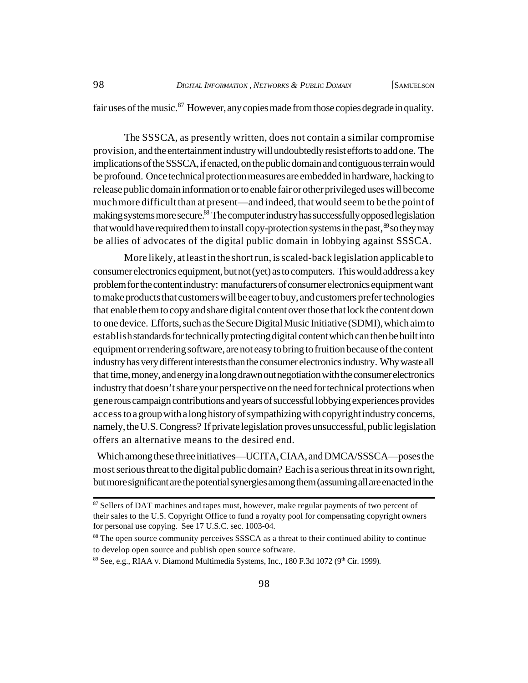fair uses of the music. <sup>87</sup> However, any copies made from those copies degrade in quality.

The SSSCA, as presently written, does not contain a similar compromise provision, and the entertainment industry will undoubtedly resist efforts to add one. The implications of the SSSCA, if enacted, on the public domain and contiguous terrain would be profound. Once technical protection measures are embedded in hardware, hacking to release public domain information or to enable fair or other privileged uses will become much more difficult than at present—and indeed, that would seem to be the point of making systems more secure.<sup>88</sup> The computer industry has successfully opposed legislation that would have required them to install copy-protection systems in the past,  $\frac{89}{3}$  so they may be allies of advocates of the digital public domain in lobbying against SSSCA.

More likely, at least in the short run, is scaled-back legislation applicable to consumer electronics equipment, but not (yet) as to computers. This would address a key problem for the content industry: manufacturers of consumer electronics equipment want to make products that customers will be eager to buy, and customers prefer technologies that enable them to copy and share digital content over those that lock the content down to one device. Efforts, such as the Secure Digital Music Initiative (SDMI), which aim to establish standards for technically protecting digital content which can then be built into equipment or rendering software, are not easy to bring to fruition because of the content industry has very different interests than the consumer electronics industry. Why waste all that time, money, and energy in a long drawn out negotiation with the consumer electronics industry that doesn't share your perspective on the need for technical protections when generous campaign contributions and years of successful lobbying experiences provides access to a group with a long history of sympathizing with copyright industry concerns, namely, the U.S. Congress? If private legislation proves unsuccessful, public legislation offers an alternative means to the desired end.

 Which among these three initiatives—UCITA, CIAA, and DMCA/SSSCA—poses the most serious threat to the digital public domain? Each is a serious threat in its own right, but more significant are the potential synergies among them (assuming all are enacted in the

<sup>&</sup>lt;sup>87</sup> Sellers of DAT machines and tapes must, however, make regular payments of two percent of their sales to the U.S. Copyright Office to fund a royalty pool for compensating copyright owners for personal use copying. See 17 U.S.C. sec. 1003-04.

<sup>&</sup>lt;sup>88</sup> The open source community perceives SSSCA as a threat to their continued ability to continue to develop open source and publish open source software.

 $89$  See, e.g., RIAA v. Diamond Multimedia Systems, Inc., 180 F.3d 1072 ( $9<sup>th</sup>$  Cir. 1999).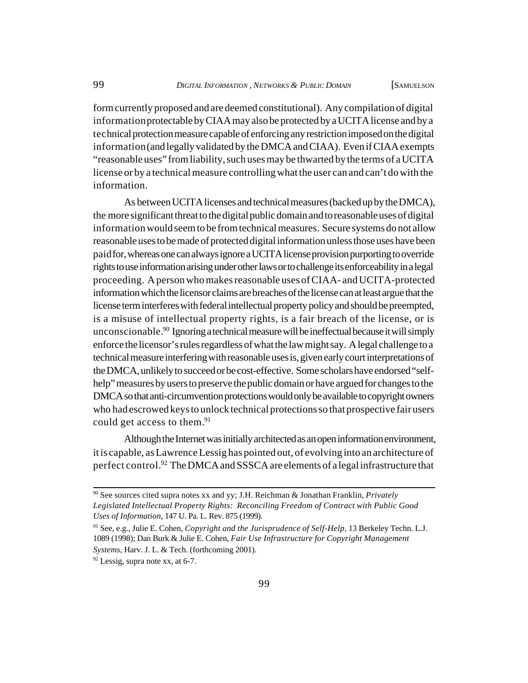form currently proposed and are deemed constitutional). Any compilation of digital information protectable by CIAA may also be protected by a UCITA license and by a technical protection measure capable of enforcing any restriction imposed on the digital information (and legally validated by the DMCA and CIAA). Even if CIAA exempts "reasonable uses" from liability, such uses may be thwarted by the terms of a UCITA license or by a technical measure controlling what the user can and can't do with the information.

As between UCITA licenses and technical measures (backed up by the DMCA), the more significant threat to the digital public domain and to reasonable uses of digital information would seem to be from technical measures. Secure systems do not allow reasonable uses to be made of protected digital information unless those uses have been paid for, whereas one can always ignore a UCITA license provision purporting to override rights to use information arising under other laws or to challenge its enforceability in a legal proceeding. A person who makes reasonable uses of CIAA- and UCITA-protected information which the licensor claims are breaches of the license can at least argue that the license term interferes with federal intellectual property policy and should be preempted, is a misuse of intellectual property rights, is a fair breach of the license, or is unconscionable.<sup>90</sup> Ignoring a technical measure will be ineffectual because it will simply enforce the licensor's rules regardless of what the law might say. A legal challenge to a technical measure interfering with reasonable uses is, given early court interpretations of the DMCA, unlikely to succeed or be cost-effective. Some scholars have endorsed "selfhelp" measures by users to preserve the public domain or have argued for changes to the DMCA so that anti-circumvention protections would only be available to copyright owners who had escrowed keys to unlock technical protections so that prospective fair users could get access to them.<sup>91</sup>

Although the Internet was initially architected as an open information environment, it is capable, as Lawrence Lessig has pointed out, of evolving into an architecture of perfect control.<sup>92</sup> The DMCA and SSSCA are elements of a legal infrastructure that

<sup>90</sup> See sources cited supra notes xx and yy; J.H. Reichman & Jonathan Franklin, *Privately Legislated Intellectual Property Rights: Reconciling Freedom of Contract with Public Good Uses of Information*, 147 U. Pa. L. Rev. 875 (1999).

<sup>91</sup> See, e.g., Julie E. Cohen, *Copyright and the Jurisprudence of Self-Help*, 13 Berkeley Techn. L.J. 1089 (1998); Dan Burk & Julie E. Cohen, *Fair Use Infrastructure for Copyright Management Systems*, Harv. J. L. & Tech. (forthcoming 2001).

 $92$  Lessig, supra note xx, at 6-7.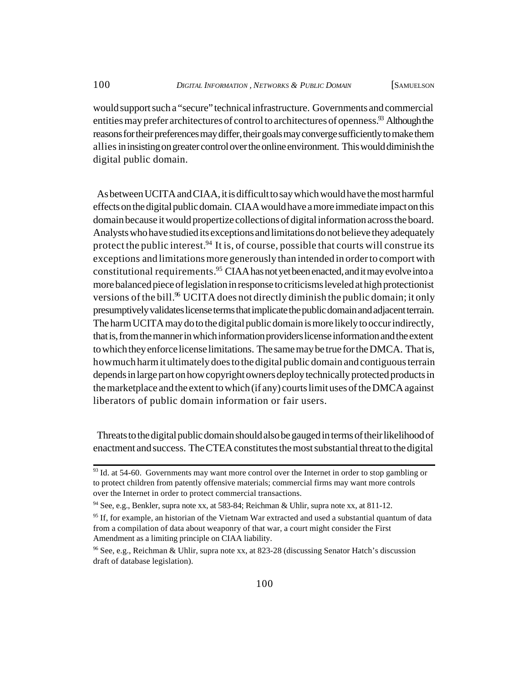would support such a "secure" technical infrastructure. Governments and commercial entities may prefer architectures of control to architectures of openness.<sup>93</sup> Although the reasons for their preferences may differ, their goals may converge sufficiently to make them allies in insisting on greater control over the online environment. This would diminish the digital public domain.

 As between UCITA and CIAA, it is difficult to say which would have the most harmful effects on the digital public domain. CIAA would have a more immediate impact on this domain because it would propertize collections of digital information across the board. Analysts who have studied its exceptions and limitations do not believe they adequately protect the public interest.<sup>94</sup> It is, of course, possible that courts will construe its exceptions and limitations more generously than intended in order to comport with constitutional requirements.<sup>95</sup> CIAA has not yet been enacted, and it may evolve into a more balanced piece of legislation in response to criticisms leveled at high protectionist versions of the bill.<sup>96</sup> UCITA does not directly diminish the public domain; it only presumptively validates license terms that implicate the public domain and adjacent terrain. The harm UCITA may do to the digital public domain is more likely to occur indirectly, that is, from the manner in which information providers license information and the extent to which they enforce license limitations. The same may be true for the DMCA. That is, how much harm it ultimately does to the digital public domain and contiguous terrain depends in large part on how copyright owners deploy technically protected products in the marketplace and the extent to which (if any) courts limit uses of the DMCA against liberators of public domain information or fair users.

 Threats to the digital public domain should also be gauged in terms of their likelihood of enactment and success. The CTEA constitutes the most substantial threat to the digital

<sup>&</sup>lt;sup>93</sup> Id. at 54-60. Governments may want more control over the Internet in order to stop gambling or to protect children from patently offensive materials; commercial firms may want more controls over the Internet in order to protect commercial transactions.

<sup>94</sup> See, e.g., Benkler, supra note xx, at 583-84; Reichman & Uhlir, supra note xx, at 811-12.

<sup>&</sup>lt;sup>95</sup> If, for example, an historian of the Vietnam War extracted and used a substantial quantum of data from a compilation of data about weaponry of that war, a court might consider the First Amendment as a limiting principle on CIAA liability.

<sup>96</sup> See, e.g., Reichman & Uhlir, supra note xx, at 823-28 (discussing Senator Hatch's discussion draft of database legislation).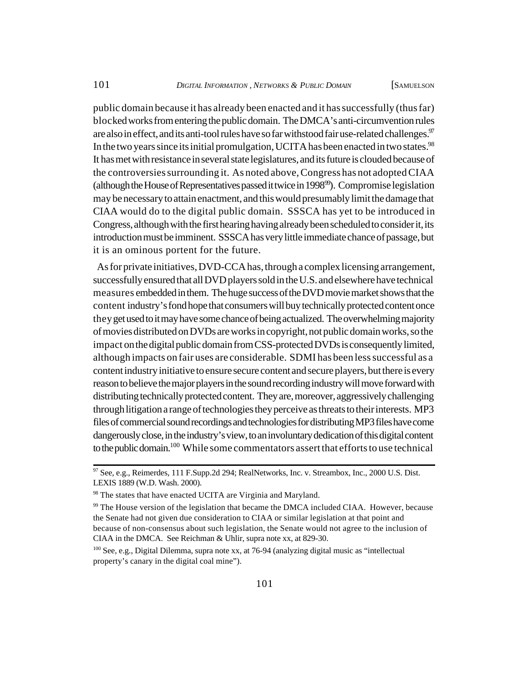public domain because it has already been enacted and it has successfully (thus far) blocked works from entering the public domain. The DMCA's anti-circumvention rules are also in effect, and its anti-tool rules have so far withstood fair use-related challenges.<sup>97</sup> In the two years since its initial promulgation, UCITA has been enacted in two states.<sup>98</sup> It has met with resistance in several state legislatures, and its future is clouded because of the controversies surrounding it. As noted above, Congress has not adopted CIAA (although the House of Representatives passed it twice in 1998 $\%$ ). Compromise legislation may be necessary to attain enactment, and this would presumably limit the damage that CIAA would do to the digital public domain. SSSCA has yet to be introduced in Congress, although with the first hearing having already been scheduled to consider it, its introduction must be imminent. SSSCA has very little immediate chance of passage, but it is an ominous portent for the future.

 As for private initiatives, DVD-CCA has, through a complex licensing arrangement, successfully ensured that all DVD players sold in the U.S. and elsewhere have technical measures embedded in them. The huge success of the DVD movie market shows that the content industry's fond hope that consumers will buy technically protected content once they get used to it may have some chance of being actualized. The overwhelming majority of movies distributed on DVDs are works in copyright, not public domain works, so the impact on the digital public domain from CSS-protected DVDs is consequently limited, although impacts on fair uses are considerable. SDMI has been less successful as a content industry initiative to ensure secure content and secure players, but there is every reason to believe the major players in the sound recording industry will move forward with distributing technically protected content. They are, moreover, aggressively challenging through litigation a range of technologies they perceive as threats to their interests. MP3 files of commercial sound recordings and technologies for distributing MP3 files have come dangerously close, in the industry's view, to an involuntary dedication of this digital content to the public domain.<sup>100</sup> While some commentators assert that efforts to use technical

<sup>97</sup> See, e.g., Reimerdes, 111 F.Supp.2d 294; RealNetworks, Inc. v. Streambox, Inc., 2000 U.S. Dist. LEXIS 1889 (W.D. Wash. 2000).

<sup>&</sup>lt;sup>98</sup> The states that have enacted UCITA are Virginia and Maryland.

<sup>99</sup> The House version of the legislation that became the DMCA included CIAA. However, because the Senate had not given due consideration to CIAA or similar legislation at that point and because of non-consensus about such legislation, the Senate would not agree to the inclusion of CIAA in the DMCA. See Reichman & Uhlir, supra note xx, at 829-30.

<sup>100</sup> See, e.g., Digital Dilemma, supra note xx, at 76-94 (analyzing digital music as "intellectual property's canary in the digital coal mine").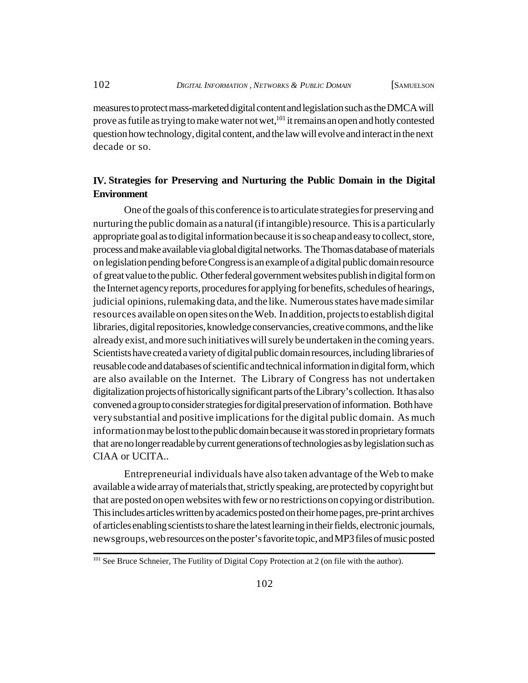measures to protect mass-marketed digital content and legislation such as the DMCA will prove as futile as trying to make water not wet,  $101$  it remains an open and hotly contested question how technology, digital content, and the law will evolve and interact in the next decade or so.

# **IV. Strategies for Preserving and Nurturing the Public Domain in the Digital Environment**

One of the goals of this conference is to articulate strategies for preserving and nurturing the public domain as a natural (if intangible) resource. This is a particularly appropriate goal as to digital information because it is so cheap and easy to collect, store, process and make available via global digital networks. The Thomas database of materials on legislation pending before Congress is an example of a digital public domain resource of great value to the public. Other federal government websites publish in digital form on the Internet agency reports, procedures for applying for benefits, schedules of hearings, judicial opinions, rulemaking data, and the like. Numerous states have made similar resources available on open sites on the Web. In addition, projects to establish digital libraries, digital repositories, knowledge conservancies, creative commons, and the like already exist, and more such initiatives will surely be undertaken in the coming years. Scientists have created a variety of digital public domain resources, including libraries of reusable code and databases of scientific and technical information in digital form, which are also available on the Internet. The Library of Congress has not undertaken digitalization projects of historically significant parts of the Library's collection. It has also convened a group to consider strategies for digital preservation of information. Both have very substantial and positive implications for the digital public domain. As much information may be lost to the public domain because it was stored in proprietary formats that are no longer readable by current generations of technologies as by legislation such as CIAA or UCITA..

Entrepreneurial individuals have also taken advantage of the Web to make available a wide array of materials that, strictly speaking, are protected by copyright but that are posted on open websites with few or no restrictions on copying or distribution. This includes articles written by academics posted on their home pages, pre-print archives of articles enabling scientists to share the latest learning in their fields, electronic journals, newsgroups, web resources on the poster's favorite topic, and MP3 files of music posted

<sup>&</sup>lt;sup>101</sup> See Bruce Schneier, The Futility of Digital Copy Protection at 2 (on file with the author).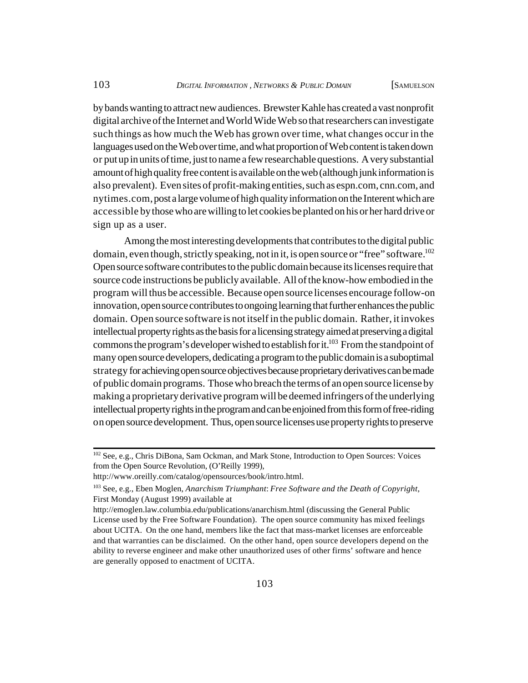by bands wanting to attract new audiences. Brewster Kahle has created a vast nonprofit digital archive of the Internet and World Wide Web so that researchers can investigate such things as how much the Web has grown over time, what changes occur in the languages used on the Web over time, and what proportion of Web content is taken down or put up in units of time, just to name a few researchable questions. A very substantial amount of high quality free content is available on the web (although junk information is also prevalent). Even sites of profit-making entities, such as espn.com, cnn.com, and nytimes.com, post a large volume of high quality information on the Interent which are accessible by those who are willing to let cookies be planted on his or her hard drive or sign up as a user.

Among the most interesting developments that contributes to the digital public domain, even though, strictly speaking, not in it, is open source or "free" software.<sup>102</sup> Open source software contributes to the public domain because its licenses require that source code instructions be publicly available. All of the know-how embodied in the program will thus be accessible. Because open source licenses encourage follow-on innovation, open source contributes to ongoing learning that further enhances the public domain. Open source software is not itself in the public domain. Rather, it invokes intellectual property rights as the basis for a licensing strategy aimed at preserving a digital commons the program's developer wished to establish for it.<sup>103</sup> From the standpoint of many open source developers, dedicating a program to the public domain is a suboptimal strategy for achieving open source objectives because proprietary derivatives can be made of public domain programs. Those who breach the terms of an open source license by making a proprietary derivative program will be deemed infringers of the underlying intellectual property rights in the program and can be enjoined from this form of free-riding on open source development. Thus, open source licenses use property rights to preserve

<sup>&</sup>lt;sup>102</sup> See, e.g., Chris DiBona, Sam Ockman, and Mark Stone, Introduction to Open Sources: Voices from the Open Source Revolution, (O'Reilly 1999),

[http://www.oreilly.com/catalog/opensources/book/intro.html.](http://www.oreilly.com/catalog/opensources/book/intro.html)

<sup>103</sup> See, e.g., Eben Moglen, *Anarchism Triumphant*: *Free Software and the Death of Copyright*, First Monday (August 1999) available at

<http://emoglen.law.columbia.edu/publications/anarchism.html> (discussing the General Public License used by the Free Software Foundation). The open source community has mixed feelings about UCITA. On the one hand, members like the fact that mass-market licenses are enforceable and that warranties can be disclaimed. On the other hand, open source developers depend on the ability to reverse engineer and make other unauthorized uses of other firms' software and hence are generally opposed to enactment of UCITA.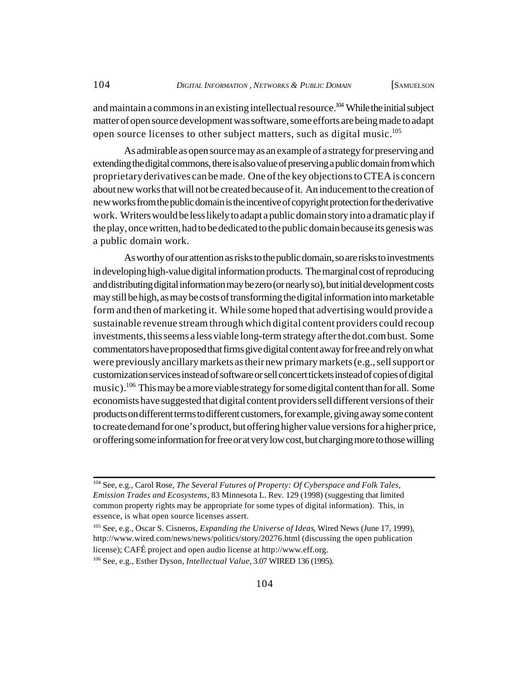and maintain a commons in an existing intellectual resource.<sup>104</sup> While the initial subject matter of open source development was software, some efforts are being made to adapt open source licenses to other subject matters, such as digital music.<sup>105</sup>

As admirable as open source may as an example of a strategy for preserving and extending the digital commons, there is also value of preserving a public domain from which proprietary derivatives can be made. One of the key objections to CTEA is concern about new works that will not be created because of it. An inducement to the creation of new works from the public domain is the incentive of copyright protection for the derivative work. Writers would be less likely to adapt a public domain story into a dramatic play if the play, once written, had to be dedicated to the public domain because its genesis was a public domain work.

As worthy of our attention as risks to the public domain, so are risks to investments in developing high-value digital information products. The marginal cost of reproducing and distributing digital information may be zero (or nearly so), but initial development costs may still be high, as may be costs of transforming the digital information into marketable form and then of marketing it. While some hoped that advertising would provide a sustainable revenue stream through which digital content providers could recoup investments, this seems a less viable long-term strategy after the dot.com bust. Some commentators have proposed that firms give digital content away for free and rely on what were previously ancillary markets as their new primary markets (e.g., sell support or customization services instead of software or sell concert tickets instead of copies of digital music).<sup>106</sup> This may be a more viable strategy for some digital content than for all. Some economists have suggested that digital content providers sell different versions of their products on different terms to different customers, for example, giving away some content to create demand for one's product, but offering higher value versions for a higher price, or offering some information for free or at very low cost, but charging more to those willing

<sup>104</sup> See, e.g., Carol Rose, *The Several Futures of Property: Of Cyberspace and Folk Tales, Emission Trades and Ecosystems,* 83 Minnesota L. Rev. 129 (1998) (suggesting that limited common property rights may be appropriate for some types of digital information). This, in essence, is what open source licenses assert.

<sup>105</sup> See, e.g., Oscar S. Cisneros, *Expanding the Universe of Ideas*, Wired News (June 17, 1999), <http://www.wired.com/news/news/politics/story/20276.html> (discussing the open publication license); CAFÉ project and open audio license at [http://www.eff.org.](http://www.eff.org)

<sup>106</sup> See, e.g., Esther Dyson, *Intellectual Value*, 3.07 WIRED 136 (1995).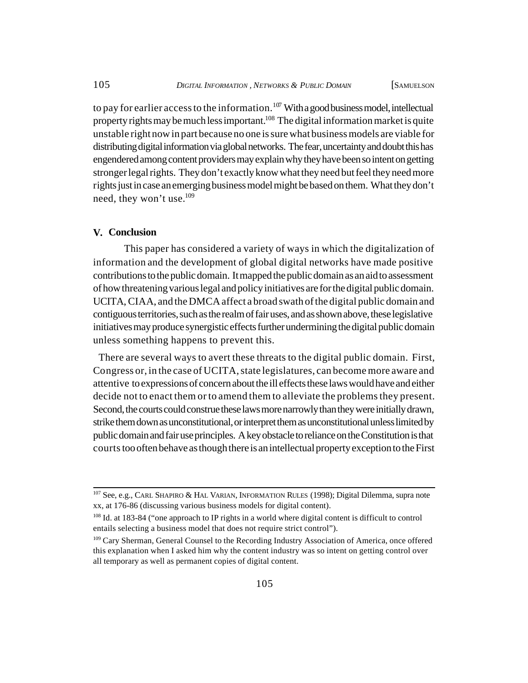to pay for earlier access to the information.<sup>107</sup> With a good business model, intellectual property rights may be much less important.<sup>108</sup> The digital information market is quite unstable right now in part because no one is sure what business models are viable for distributing digital information via global networks. The fear, uncertainty and doubt this has engendered among content providers may explain why they have been so intent on getting stronger legal rights. They don't exactly know what they need but feel they need more rights just in case an emerging business model might be based on them. What they don't need, they won't use.<sup>109</sup>

### **V. Conclusion**

This paper has considered a variety of ways in which the digitalization of information and the development of global digital networks have made positive contributions to the public domain. It mapped the public domain as an aid to assessment of how threatening various legal and policy initiatives are for the digital public domain. UCITA, CIAA, and the DMCA affect a broad swath of the digital public domain and contiguous territories, such as the realm of fair uses, and as shown above, these legislative initiatives may produce synergistic effects further undermining the digital public domain unless something happens to prevent this.

 There are several ways to avert these threats to the digital public domain. First, Congress or, in the case of UCITA, state legislatures, can become more aware and attentive to expressions of concern about the ill effects these laws would have and either decide not to enact them or to amend them to alleviate the problems they present. Second, the courts could construe these laws more narrowly than they were initially drawn, strike them down as unconstitutional, or interpret them as unconstitutional unless limited by public domain and fair use principles. A key obstacle to reliance on the Constitution is that courts too often behave as though there is an intellectual property exception to the First

<sup>&</sup>lt;sup>107</sup> See, e.g., CARL SHAPIRO & HAL VARIAN, INFORMATION RULES (1998); Digital Dilemma, supra note xx, at 176-86 (discussing various business models for digital content).

<sup>&</sup>lt;sup>108</sup> Id. at 183-84 ("one approach to IP rights in a world where digital content is difficult to control entails selecting a business model that does not require strict control").

<sup>&</sup>lt;sup>109</sup> Cary Sherman, General Counsel to the Recording Industry Association of America, once offered this explanation when I asked him why the content industry was so intent on getting control over all temporary as well as permanent copies of digital content.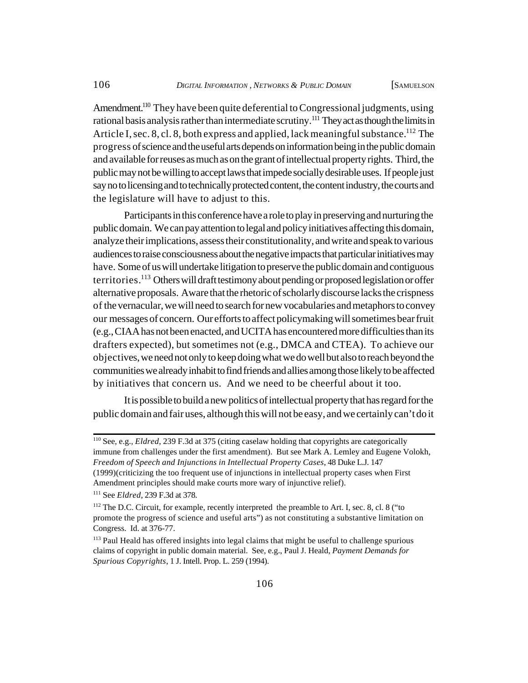Amendment.<sup>110</sup> They have been quite deferential to Congressional judgments, using rational basis analysis rather than intermediate scrutiny.<sup>111</sup> They act as though the limits in Article I, sec. 8, cl. 8, both express and applied, lack meaningful substance.<sup>112</sup> The progress of science and the useful arts depends on information being in the public domain and available for reuses as much as on the grant of intellectual property rights. Third, the public may not be willing to accept laws that impede socially desirable uses. If people just say no to licensing and to technically protected content, the content industry, the courts and the legislature will have to adjust to this.

Participants in this conference have a role to play in preserving and nurturing the public domain. We can pay attention to legal and policy initiatives affecting this domain, analyze their implications, assess their constitutionality, and write and speak to various audiences to raise consciousness about the negative impacts that particular initiatives may have. Some of us will undertake litigation to preserve the public domain and contiguous territories.<sup>113</sup> Others will draft testimony about pending or proposed legislation or offer alternative proposals. Aware that the rhetoric of scholarly discourse lacks the crispness of the vernacular, we will need to search for new vocabularies and metaphors to convey our messages of concern. Our efforts to affect policymaking will sometimes bear fruit (e.g., CIAA has not been enacted, and UCITA has encountered more difficulties than its drafters expected), but sometimes not (e.g., DMCA and CTEA). To achieve our objectives, we need not only to keep doing what we do well but also to reach beyond the communities we already inhabit to find friends and allies among those likely to be affected by initiatives that concern us. And we need to be cheerful about it too.

It is possible to build a new politics of intellectual property that has regard for the public domain and fair uses, although this will not be easy, and we certainly can't do it

<sup>110</sup> See, e.g., *Eldred*, 239 F.3d at 375 (citing caselaw holding that copyrights are categorically immune from challenges under the first amendment). But see Mark A. Lemley and Eugene Volokh, *Freedom of Speech and Injunctions in Intellectual Property Cases*, 48 Duke L.J. 147 (1999)(criticizing the too frequent use of injunctions in intellectual property cases when First Amendment principles should make courts more wary of injunctive relief).

<sup>111</sup> See *Eldred*, 239 F.3d at 378.

 $112$  The D.C. Circuit, for example, recently interpreted the preamble to Art. I, sec. 8, cl. 8 ("to promote the progress of science and useful arts") as not constituting a substantive limitation on Congress. Id. at 376-77.

<sup>&</sup>lt;sup>113</sup> Paul Heald has offered insights into legal claims that might be useful to challenge spurious claims of copyright in public domain material. See, e.g., Paul J. Heald, *Payment Demands for Spurious Copyrights*, 1 J. Intell. Prop. L. 259 (1994).